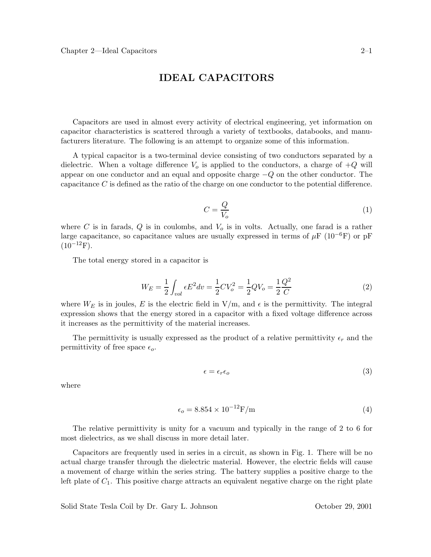## **IDEAL CAPACITORS**

Capacitors are used in almost every activity of electrical engineering, yet information on capacitor characteristics is scattered through a variety of textbooks, databooks, and manufacturers literature. The following is an attempt to organize some of this information.

A typical capacitor is a two-terminal device consisting of two conductors separated by a dielectric. When a voltage difference  $V_o$  is applied to the conductors, a charge of  $+Q$  will appear on one conductor and an equal and opposite charge  $-Q$  on the other conductor. The capacitance C is defined as the ratio of the charge on one conductor to the potential difference.

$$
C = \frac{Q}{V_o} \tag{1}
$$

where  $C$  is in farads,  $Q$  is in coulombs, and  $V<sub>o</sub>$  is in volts. Actually, one farad is a rather large capacitance, so capacitance values are usually expressed in terms of  $\mu$ F (10<sup>-6</sup>F) or pF  $(10^{-12}F)$ .

The total energy stored in a capacitor is

$$
W_E = \frac{1}{2} \int_{vol} \epsilon E^2 dv = \frac{1}{2} C V_o^2 = \frac{1}{2} Q V_o = \frac{1}{2} \frac{Q^2}{C}
$$
 (2)

where  $W_E$  is in joules, E is the electric field in  $V/m$ , and  $\epsilon$  is the permittivity. The integral expression shows that the energy stored in a capacitor with a fixed voltage difference across it increases as the permittivity of the material increases.

The permittivity is usually expressed as the product of a relative permittivity  $\epsilon_r$  and the permittivity of free space  $\epsilon_o$ .

$$
\epsilon = \epsilon_r \epsilon_o \tag{3}
$$

where

$$
\epsilon_o = 8.854 \times 10^{-12} \text{F/m} \tag{4}
$$

The relative permittivity is unity for a vacuum and typically in the range of 2 to 6 for most dielectrics, as we shall discuss in more detail later.

Capacitors are frequently used in series in a circuit, as shown in Fig. 1. There will be no actual charge transfer through the dielectric material. However, the electric fields will cause a movement of charge within the series string. The battery supplies a positive charge to the left plate of  $C_1$ . This positive charge attracts an equivalent negative charge on the right plate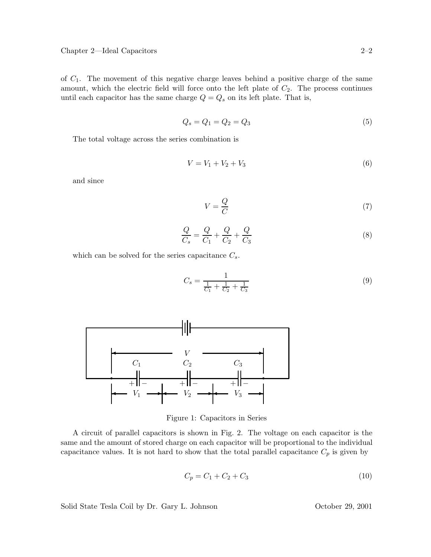of  $C_1$ . The movement of this negative charge leaves behind a positive charge of the same amount, which the electric field will force onto the left plate of  $C_2$ . The process continues until each capacitor has the same charge  $Q = Q_s$  on its left plate. That is,

$$
Q_s = Q_1 = Q_2 = Q_3 \tag{5}
$$

The total voltage across the series combination is

$$
V = V_1 + V_2 + V_3 \tag{6}
$$

and since

$$
V = \frac{Q}{C} \tag{7}
$$

$$
\frac{Q}{C_s} = \frac{Q}{C_1} + \frac{Q}{C_2} + \frac{Q}{C_3}
$$
\n(8)

which can be solved for the series capacitance  $C_s$ .

$$
C_s = \frac{1}{\frac{1}{C_1} + \frac{1}{C_2} + \frac{1}{C_3}}
$$
\n(9)



Figure 1: Capacitors in Series

A circuit of parallel capacitors is shown in Fig. 2. The voltage on each capacitor is the same and the amount of stored charge on each capacitor will be proportional to the individual capacitance values. It is not hard to show that the total parallel capacitance  $C_p$  is given by

$$
C_p = C_1 + C_2 + C_3 \tag{10}
$$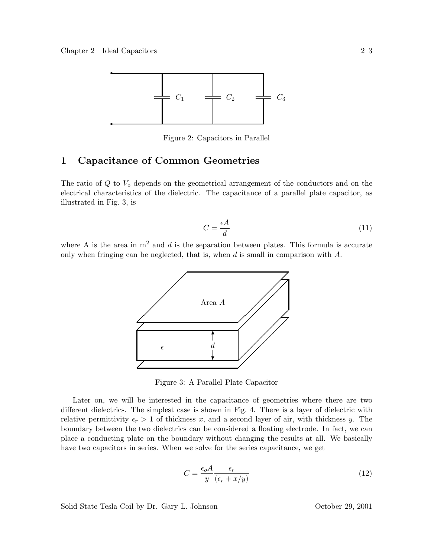

Figure 2: Capacitors in Parallel

## **1 Capacitance of Common Geometries**

The ratio of  $Q$  to  $V<sub>o</sub>$  depends on the geometrical arrangement of the conductors and on the electrical characteristics of the dielectric. The capacitance of a parallel plate capacitor, as illustrated in Fig. 3, is

$$
C = \frac{\epsilon A}{d} \tag{11}
$$

where A is the area in  $m<sup>2</sup>$  and d is the separation between plates. This formula is accurate only when fringing can be neglected, that is, when  $d$  is small in comparison with  $A$ .



Figure 3: A Parallel Plate Capacitor

Later on, we will be interested in the capacitance of geometries where there are two different dielectrics. The simplest case is shown in Fig. 4. There is a layer of dielectric with relative permittivity  $\epsilon_r > 1$  of thickness x, and a second layer of air, with thickness y. The boundary between the two dielectrics can be considered a floating electrode. In fact, we can place a conducting plate on the boundary without changing the results at all. We basically have two capacitors in series. When we solve for the series capacitance, we get

$$
C = \frac{\epsilon_o A}{y} \frac{\epsilon_r}{(\epsilon_r + x/y)}\tag{12}
$$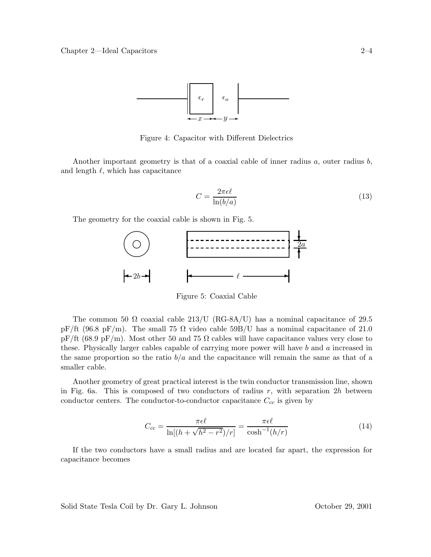

Figure 4: Capacitor with Different Dielectrics

Another important geometry is that of a coaxial cable of inner radius  $a$ , outer radius  $b$ , and length  $\ell$ , which has capacitance

$$
C = \frac{2\pi\epsilon\ell}{\ln(b/a)}\tag{13}
$$

The geometry for the coaxial cable is shown in Fig. 5.



Figure 5: Coaxial Cable

The common 50  $\Omega$  coaxial cable 213/U (RG-8A/U) has a nominal capacitance of 29.5 pF/ft (96.8 pF/m). The small 75  $\Omega$  video cable 59B/U has a nominal capacitance of 21.0 pF/ft (68.9 pF/m). Most other 50 and 75  $\Omega$  cables will have capacitance values very close to these. Physically larger cables capable of carrying more power will have b and a increased in the same proportion so the ratio  $b/a$  and the capacitance will remain the same as that of a smaller cable.

Another geometry of great practical interest is the twin conductor transmission line, shown in Fig. 6a. This is composed of two conductors of radius  $r$ , with separation  $2h$  between conductor centers. The conductor-to-conductor capacitance  $C_{cc}$  is given by

$$
C_{cc} = \frac{\pi \epsilon \ell}{\ln[(h + \sqrt{h^2 - r^2})/r]} = \frac{\pi \epsilon \ell}{\cosh^{-1}(h/r)}
$$
(14)

If the two conductors have a small radius and are located far apart, the expression for capacitance becomes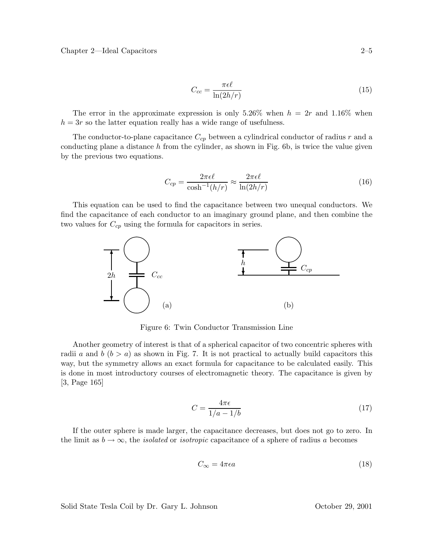$$
C_{cc} = \frac{\pi \epsilon \ell}{\ln(2h/r)}
$$
\n(15)

The error in the approximate expression is only 5.26% when  $h = 2r$  and 1.16% when  $h = 3r$  so the latter equation really has a wide range of usefulness.

The conductor-to-plane capacitance  $C_{cp}$  between a cylindrical conductor of radius r and a conducting plane a distance  $h$  from the cylinder, as shown in Fig. 6b, is twice the value given by the previous two equations.

$$
C_{cp} = \frac{2\pi\epsilon\ell}{\cosh^{-1}(h/r)} \approx \frac{2\pi\epsilon\ell}{\ln(2h/r)}
$$
(16)

This equation can be used to find the capacitance between two unequal conductors. We find the capacitance of each conductor to an imaginary ground plane, and then combine the two values for  $C_{cp}$  using the formula for capacitors in series.



Figure 6: Twin Conductor Transmission Line

Another geometry of interest is that of a spherical capacitor of two concentric spheres with radii a and b  $(b > a)$  as shown in Fig. 7. It is not practical to actually build capacitors this way, but the symmetry allows an exact formula for capacitance to be calculated easily. This is done in most introductory courses of electromagnetic theory. The capacitance is given by [3, Page 165]

$$
C = \frac{4\pi\epsilon}{1/a - 1/b} \tag{17}
$$

If the outer sphere is made larger, the capacitance decreases, but does not go to zero. In the limit as  $b \to \infty$ , the *isolated* or *isotropic* capacitance of a sphere of radius a becomes

$$
C_{\infty} = 4\pi\epsilon a\tag{18}
$$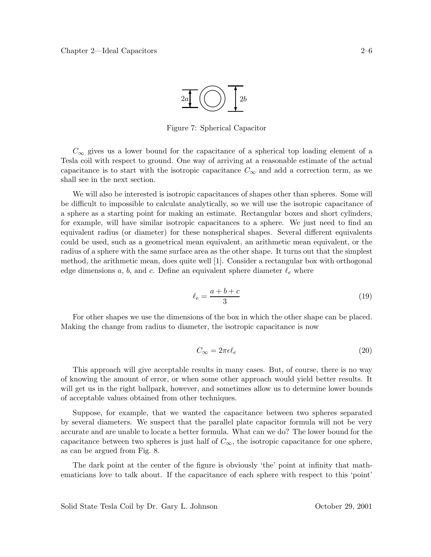

Figure 7: Spherical Capacitor

 $C_{\infty}$  gives us a lower bound for the capacitance of a spherical top loading element of a Tesla coil with respect to ground. One way of arriving at a reasonable estimate of the actual capacitance is to start with the isotropic capacitance  $C_{\infty}$  and add a correction term, as we shall see in the next section.

We will also be interested is isotropic capacitances of shapes other than spheres. Some will be difficult to impossible to calculate analytically, so we will use the isotropic capacitance of a sphere as a starting point for making an estimate. Rectangular boxes and short cylinders, for example, will have similar isotropic capacitances to a sphere. We just need to find an equivalent radius (or diameter) for these nonspherical shapes. Several different equivalents could be used, such as a geometrical mean equivalent, an arithmetic mean equivalent, or the radius of a sphere with the same surface area as the other shape. It turns out that the simplest method, the arithmetic mean, does quite well [1]. Consider a rectangular box with orthogonal edge dimensions  $a, b$ , and  $c$ . Define an equivalent sphere diameter  $\ell_e$  where

$$
\ell_e = \frac{a+b+c}{3} \tag{19}
$$

For other shapes we use the dimensions of the box in which the other shape can be placed. Making the change from radius to diameter, the isotropic capacitance is now

$$
C_{\infty} = 2\pi\epsilon\ell_e \tag{20}
$$

This approach will give acceptable results in many cases. But, of course, there is no way of knowing the amount of error, or when some other approach would yield better results. It will get us in the right ballpark, however, and sometimes allow us to determine lower bounds of acceptable values obtained from other techniques.

Suppose, for example, that we wanted the capacitance between two spheres separated by several diameters. We suspect that the parallel plate capacitor formula will not be very accurate and are unable to locate a better formula. What can we do? The lower bound for the capacitance between two spheres is just half of  $C_{\infty}$ , the isotropic capacitance for one sphere, as can be argued from Fig. 8.

The dark point at the center of the figure is obviously 'the' point at infinity that mathematicians love to talk about. If the capacitance of each sphere with respect to this 'point'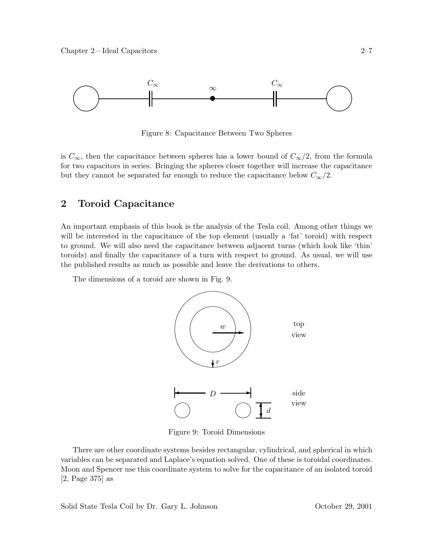

Figure 8: Capacitance Between Two Spheres

is  $C_{\infty}$ , then the capacitance between spheres has a lower bound of  $C_{\infty}/2$ , from the formula for two capacitors in series. Bringing the spheres closer together will increase the capacitance but they cannot be separated far enough to reduce the capacitance below  $C_{\infty}/2$ .

### **2 Toroid Capacitance**

An important emphasis of this book is the analysis of the Tesla coil. Among other things we will be interested in the capacitance of the top element (usually a 'fat' toroid) with respect to ground. We will also need the capacitance between adjacent turns (which look like 'thin' toroids) and finally the capacitance of a turn with respect to ground. As usual, we will use the published results as much as possible and leave the derivations to others.

The dimensions of a toroid are shown in Fig. 9.



Figure 9: Toroid Dimensions

There are other coordinate systems besides rectangular, cylindrical, and spherical in which variables can be separated and Laplace's equation solved. One of these is toroidal coordinates. Moon and Spencer use this coordinate system to solve for the capacitance of an isolated toroid [2, Page 375] as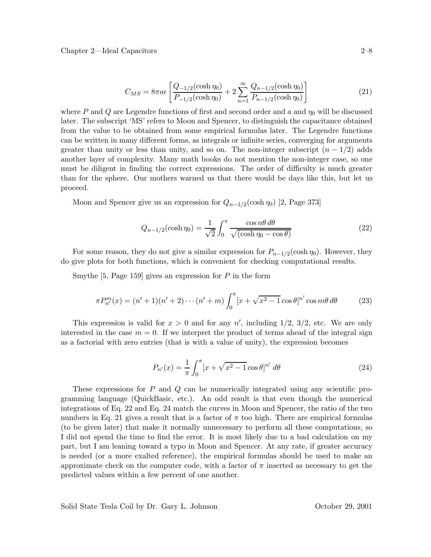Chapter 2—Ideal Capacitors 2–8

$$
C_{MS} = 8\pi a\epsilon \left[ \frac{Q_{-1/2}(\cosh \eta_0)}{P_{-1/2}(\cosh \eta_0)} + 2\sum_{n=1}^{\infty} \frac{Q_{n-1/2}(\cosh \eta_0)}{P_{n-1/2}(\cosh \eta_0)} \right]
$$
(21)

where P and Q are Legendre functions of first and second order and a and  $\eta_0$  will be discussed later. The subscript 'MS' refers to Moon and Spencer, to distinguish the capacitance obtained from the value to be obtained from some empirical formulas later. The Legendre functions can be written in many different forms, as integrals or infinite series, converging for arguments greater than unity or less than unity, and so on. The non-integer subscript  $(n - 1/2)$  adds another layer of complexity. Many math books do not mention the non-integer case, so one must be diligent in finding the correct expressions. The order of difficulty is much greater than for the sphere. Our mothers warned us that there would be days like this, but let us proceed.

Moon and Spencer give us an expression for  $Q_{n-1/2}(\cosh \eta_0)$  [2, Page 373]

$$
Q_{n-1/2}(\cosh \eta_0) = \frac{1}{\sqrt{2}} \int_0^\pi \frac{\cos n\theta \, d\theta}{\sqrt{(\cosh \eta_0 - \cos \theta)}}
$$
(22)

For some reason, they do not give a similar expression for  $P_{n-1/2}(\cosh \eta_0)$ . However, they do give plots for both functions, which is convenient for checking computational results.

Smythe [5, Page 159] gives an expression for  $P$  in the form

$$
\pi P_{n'}^{m}(x) = (n'+1)(n'+2)\cdots(n'+m)\int_0^{\pi} [x+\sqrt{x^2-1}\cos\theta]^{n'}\cos m\theta \,d\theta \tag{23}
$$

This expression is valid for  $x > 0$  and for any  $n'$ , including  $1/2$ ,  $3/2$ , etc. We are only interested in the case  $m = 0$ . If we interpret the product of terms ahead of the integral sign as a factorial with zero entries (that is with a value of unity), the expression becomes

$$
P_{n'}(x) = \frac{1}{\pi} \int_0^{\pi} [x + \sqrt{x^2 - 1} \cos \theta]^{n'} d\theta
$$
 (24)

These expressions for P and Q can be numerically integrated using any scientific programming language (QuickBasic, etc.). An odd result is that even though the numerical integrations of Eq. 22 and Eq. 24 match the curves in Moon and Spencer, the ratio of the two numbers in Eq. 21 gives a result that is a factor of  $\pi$  too high. There are empirical formulas (to be given later) that make it normally unnecessary to perform all these computations, so I did not spend the time to find the error. It is most likely due to a bad calculation on my part, but I am leaning toward a typo in Moon and Spencer. At any rate, if greater accuracy is needed (or a more exalted reference), the empirical formulas should be used to make an approximate check on the computer code, with a factor of  $\pi$  inserted as necessary to get the predicted values within a few percent of one another.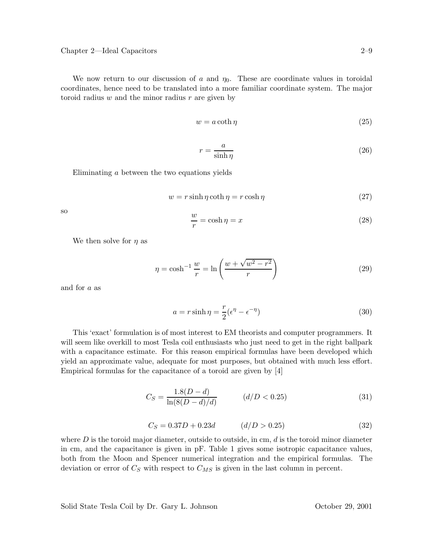We now return to our discussion of a and  $\eta_0$ . These are coordinate values in toroidal coordinates, hence need to be translated into a more familiar coordinate system. The major toroid radius  $w$  and the minor radius  $r$  are given by

$$
w = a \coth \eta \tag{25}
$$

$$
r = \frac{a}{\sinh \eta} \tag{26}
$$

Eliminating a between the two equations yields

$$
w = r \sinh \eta \coth \eta = r \cosh \eta \tag{27}
$$

so

$$
\frac{w}{r} = \cosh \eta = x \tag{28}
$$

We then solve for  $\eta$  as

$$
\eta = \cosh^{-1}\frac{w}{r} = \ln\left(\frac{w + \sqrt{w^2 - r^2}}{r}\right)
$$
\n(29)

and for a as

$$
a = r \sinh \eta = \frac{r}{2} (\epsilon^{\eta} - \epsilon^{-\eta})
$$
\n(30)

This 'exact' formulation is of most interest to EM theorists and computer programmers. It will seem like overkill to most Tesla coil enthusiasts who just need to get in the right ballpark with a capacitance estimate. For this reason empirical formulas have been developed which yield an approximate value, adequate for most purposes, but obtained with much less effort. Empirical formulas for the capacitance of a toroid are given by [4]

$$
C_S = \frac{1.8(D - d)}{\ln(8(D - d)/d)} \qquad (d/D < 0.25)
$$
\n(31)

$$
C_S = 0.37D + 0.23d \qquad (d/D > 0.25)
$$
 (32)

where  $D$  is the toroid major diameter, outside to outside, in cm,  $d$  is the toroid minor diameter in cm, and the capacitance is given in pF. Table 1 gives some isotropic capacitance values, both from the Moon and Spencer numerical integration and the empirical formulas. The deviation or error of  $C_S$  with respect to  $C_{MS}$  is given in the last column in percent.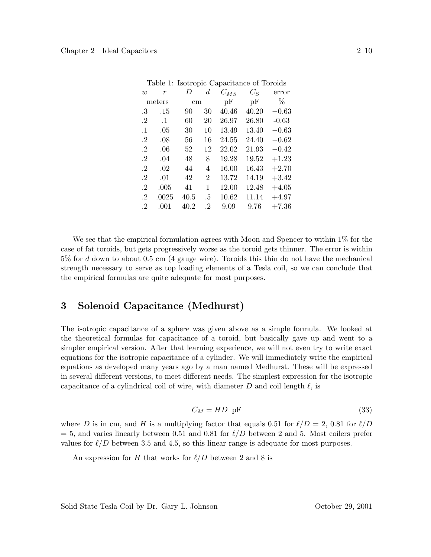| Table 1: Isotropic Capacitance of Toroids |                  |          |                |          |       |         |
|-------------------------------------------|------------------|----------|----------------|----------|-------|---------|
| w                                         | $\boldsymbol{r}$ | D        | d.             | $C_{MS}$ | $C_S$ | error   |
| meters                                    |                  | $\rm cm$ |                | pF       | pF    | %       |
| .3                                        | .15              | 90       | 30             | 40.46    | 40.20 | $-0.63$ |
| $\cdot$ 2                                 | $\cdot$ 1        | 60       | 20             | 26.97    | 26.80 | $-0.63$ |
| $\cdot$ 1                                 | .05              | 30       | 10             | 13.49    | 13.40 | $-0.63$ |
| $\cdot^2$                                 | .08              | 56       | 16             | 24.55    | 24.40 | $-0.62$ |
| $\cdot$ 2                                 | .06              | 52       | 12             | 22.02    | 21.93 | $-0.42$ |
| $\cdot$ <sup>2</sup>                      | .04              | 48       | 8              | 19.28    | 19.52 | $+1.23$ |
| $\cdot$ <sup>2</sup>                      | .02              | 44       | 4              | 16.00    | 16.43 | $+2.70$ |
| $\cdot$                                   | .01              | 42       | $\overline{2}$ | 13.72    | 14.19 | $+3.42$ |
| $\cdot$                                   | .005             | 41       | 1              | 12.00    | 12.48 | $+4.05$ |
| $\cdot$                                   | .0025            | 40.5     | .5             | 10.62    | 11.14 | $+4.97$ |
| $\cdot$ 2                                 | .001             | 40.2     | $\cdot$ 2      | 9.09     | 9.76  | $+7.36$ |

We see that the empirical formulation agrees with Moon and Spencer to within  $1\%$  for the case of fat toroids, but gets progressively worse as the toroid gets thinner. The error is within 5% for d down to about 0.5 cm (4 gauge wire). Toroids this thin do not have the mechanical strength necessary to serve as top loading elements of a Tesla coil, so we can conclude that the empirical formulas are quite adequate for most purposes.

# **3 Solenoid Capacitance (Medhurst)**

The isotropic capacitance of a sphere was given above as a simple formula. We looked at the theoretical formulas for capacitance of a toroid, but basically gave up and went to a simpler empirical version. After that learning experience, we will not even try to write exact equations for the isotropic capacitance of a cylinder. We will immediately write the empirical equations as developed many years ago by a man named Medhurst. These will be expressed in several different versions, to meet different needs. The simplest expression for the isotropic capacitance of a cylindrical coil of wire, with diameter  $D$  and coil length  $\ell$ , is

$$
C_M = HD \text{ pF}
$$
 (33)

where D is in cm, and H is a multiplying factor that equals 0.51 for  $\ell/D = 2$ , 0.81 for  $\ell/D$  $= 5$ , and varies linearly between 0.51 and 0.81 for  $\ell/D$  between 2 and 5. Most coilers prefer values for  $\ell/D$  between 3.5 and 4.5, so this linear range is adequate for most purposes.

An expression for H that works for  $\ell/D$  between 2 and 8 is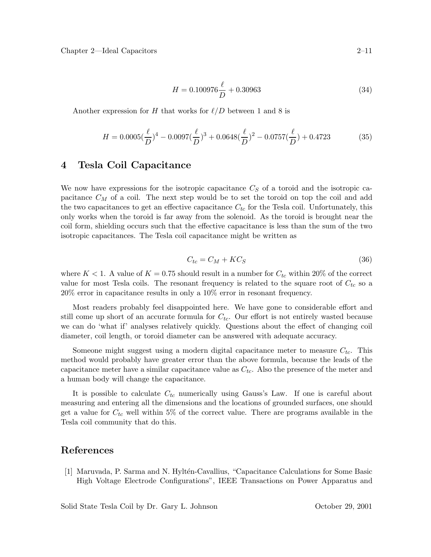$$
H = 0.100976 \frac{\ell}{D} + 0.30963\tag{34}
$$

Another expression for H that works for  $\ell/D$  between 1 and 8 is

$$
H = 0.0005\left(\frac{\ell}{D}\right)^4 - 0.0097\left(\frac{\ell}{D}\right)^3 + 0.0648\left(\frac{\ell}{D}\right)^2 - 0.0757\left(\frac{\ell}{D}\right) + 0.4723\tag{35}
$$

#### **4 Tesla Coil Capacitance**

We now have expressions for the isotropic capacitance  $C<sub>S</sub>$  of a toroid and the isotropic capacitance  $C_M$  of a coil. The next step would be to set the toroid on top the coil and add the two capacitances to get an effective capacitance  $C_{tc}$  for the Tesla coil. Unfortunately, this only works when the toroid is far away from the solenoid. As the toroid is brought near the coil form, shielding occurs such that the effective capacitance is less than the sum of the two isotropic capacitances. The Tesla coil capacitance might be written as

$$
C_{tc} = C_M + KC_S \tag{36}
$$

where  $K < 1$ . A value of  $K = 0.75$  should result in a number for  $C_{tc}$  within 20% of the correct value for most Tesla coils. The resonant frequency is related to the square root of  $C_{tc}$  so a 20% error in capacitance results in only a 10% error in resonant frequency.

Most readers probably feel disappointed here. We have gone to considerable effort and still come up short of an accurate formula for  $C_{tc}$ . Our effort is not entirely wasted because we can do 'what if' analyses relatively quickly. Questions about the effect of changing coil diameter, coil length, or toroid diameter can be answered with adequate accuracy.

Someone might suggest using a modern digital capacitance meter to measure  $C_{tc}$ . This method would probably have greater error than the above formula, because the leads of the capacitance meter have a similar capacitance value as  $C_{tc}$ . Also the presence of the meter and a human body will change the capacitance.

It is possible to calculate  $C_{tc}$  numerically using Gauss's Law. If one is careful about measuring and entering all the dimensions and the locations of grounded surfaces, one should get a value for  $C_{tc}$  well within 5% of the correct value. There are programs available in the Tesla coil community that do this.

### **References**

[1] Maruvada, P. Sarma and N. Hylt´en-Cavallius, "Capacitance Calculations for Some Basic High Voltage Electrode Configurations", IEEE Transactions on Power Apparatus and